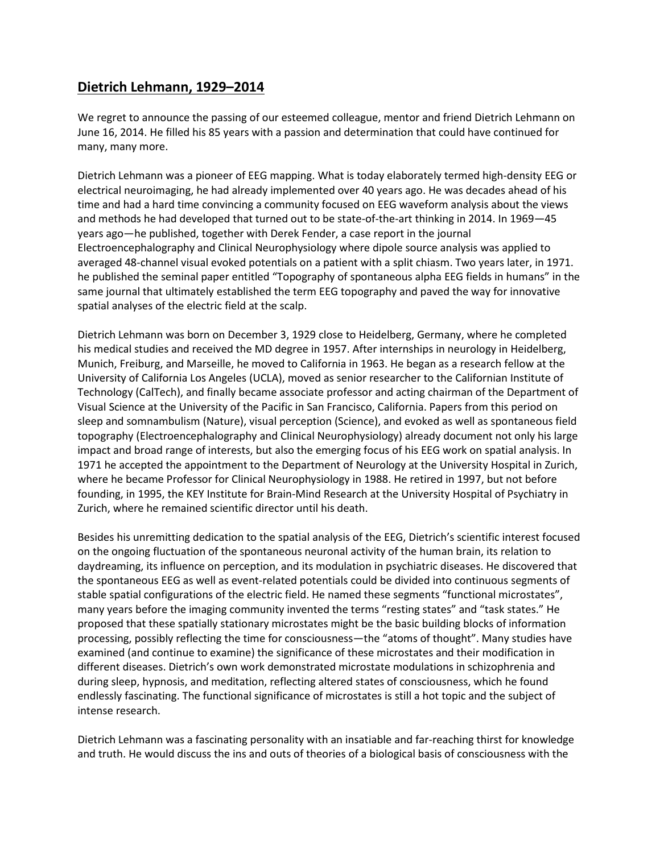## **Dietrich Lehmann, 1929–2014**

We regret to announce the passing of our esteemed colleague, mentor and friend Dietrich Lehmann on June 16, 2014. He filled his 85 years with a passion and determination that could have continued for many, many more.

Dietrich Lehmann was a pioneer of EEG mapping. What is today elaborately termed high-density EEG or electrical neuroimaging, he had already implemented over 40 years ago. He was decades ahead of his time and had a hard time convincing a community focused on EEG waveform analysis about the views and methods he had developed that turned out to be state-of-the-art thinking in 2014. In 1969—45 years ago—he published, together with Derek Fender, a case report in the journal Electroencephalography and Clinical Neurophysiology where dipole source analysis was applied to averaged 48-channel visual evoked potentials on a patient with a split chiasm. Two years later, in 1971. he published the seminal paper entitled "Topography of spontaneous alpha EEG fields in humans" in the same journal that ultimately established the term EEG topography and paved the way for innovative spatial analyses of the electric field at the scalp.

Dietrich Lehmann was born on December 3, 1929 close to Heidelberg, Germany, where he completed his medical studies and received the MD degree in 1957. After internships in neurology in Heidelberg, Munich, Freiburg, and Marseille, he moved to California in 1963. He began as a research fellow at the University of California Los Angeles (UCLA), moved as senior researcher to the Californian Institute of Technology (CalTech), and finally became associate professor and acting chairman of the Department of Visual Science at the University of the Pacific in San Francisco, California. Papers from this period on sleep and somnambulism (Nature), visual perception (Science), and evoked as well as spontaneous field topography (Electroencephalography and Clinical Neurophysiology) already document not only his large impact and broad range of interests, but also the emerging focus of his EEG work on spatial analysis. In 1971 he accepted the appointment to the Department of Neurology at the University Hospital in Zurich, where he became Professor for Clinical Neurophysiology in 1988. He retired in 1997, but not before founding, in 1995, the KEY Institute for Brain-Mind Research at the University Hospital of Psychiatry in Zurich, where he remained scientific director until his death.

Besides his unremitting dedication to the spatial analysis of the EEG, Dietrich's scientific interest focused on the ongoing fluctuation of the spontaneous neuronal activity of the human brain, its relation to daydreaming, its influence on perception, and its modulation in psychiatric diseases. He discovered that the spontaneous EEG as well as event-related potentials could be divided into continuous segments of stable spatial configurations of the electric field. He named these segments "functional microstates", many years before the imaging community invented the terms "resting states" and "task states." He proposed that these spatially stationary microstates might be the basic building blocks of information processing, possibly reflecting the time for consciousness—the "atoms of thought". Many studies have examined (and continue to examine) the significance of these microstates and their modification in different diseases. Dietrich's own work demonstrated microstate modulations in schizophrenia and during sleep, hypnosis, and meditation, reflecting altered states of consciousness, which he found endlessly fascinating. The functional significance of microstates is still a hot topic and the subject of intense research.

Dietrich Lehmann was a fascinating personality with an insatiable and far-reaching thirst for knowledge and truth. He would discuss the ins and outs of theories of a biological basis of consciousness with the